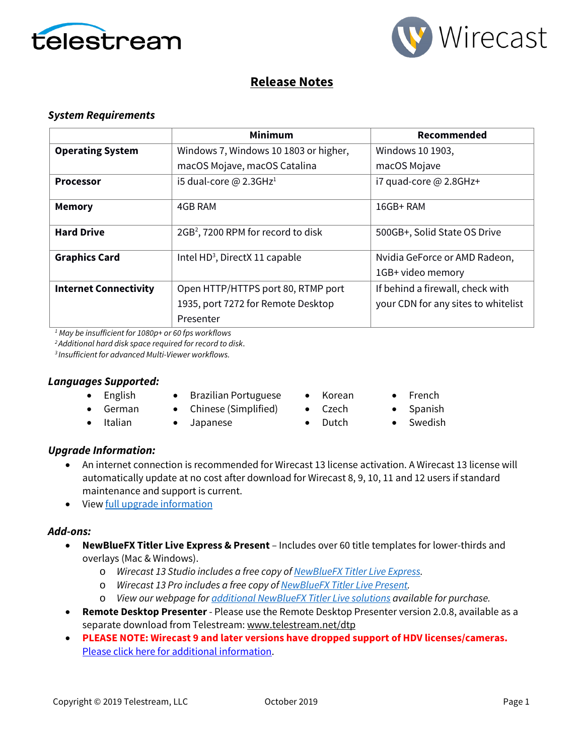



# **Release Notes**

# *System Requirements*

|                              | <b>Minimum</b>                                 | Recommended                         |
|------------------------------|------------------------------------------------|-------------------------------------|
| <b>Operating System</b>      | Windows 7, Windows 10 1803 or higher,          | Windows 10 1903,                    |
|                              | macOS Mojave, macOS Catalina                   | macOS Mojave                        |
| <b>Processor</b>             | i5 dual-core $\omega$ 2.3GHz <sup>1</sup>      | i7 quad-core $@$ 2.8GHz+            |
| <b>Memory</b>                | 4GB RAM                                        | 16GB+RAM                            |
| <b>Hard Drive</b>            | 2GB <sup>2</sup> , 7200 RPM for record to disk | 500GB+, Solid State OS Drive        |
| <b>Graphics Card</b>         | Intel HD <sup>3</sup> , DirectX 11 capable     | Nvidia GeForce or AMD Radeon,       |
|                              |                                                | 1GB+ video memory                   |
| <b>Internet Connectivity</b> | Open HTTP/HTTPS port 80, RTMP port             | If behind a firewall, check with    |
|                              | 1935, port 7272 for Remote Desktop             | your CDN for any sites to whitelist |
|                              | Presenter                                      |                                     |

*<sup>1</sup> May be insufficient for 1080p+ or 60 fps workflows*

*2 Additional hard disk space required for record to disk*.

*3 Insufficient for advanced Multi-Viewer workflows.*

### *Languages Supported:*

- English
- Brazilian Portuguese
- German • Chinese (Simplified)
- Italian
- 
- Japanese
- Korean

• Czech • Dutch

- French
- Spanish
- **Swedish**

# *Upgrade Information:*

- An internet connection is recommended for Wirecast 13 license activation. A Wirecast 13 license will automatically update at no cost after download for Wirecast 8, 9, 10, 11 and 12 users if standard maintenance and support is current.
- Vie[w full upgrade information](http://www.telestream.net/wirecast/upgrade.htm#upgrade)

# *Add-ons:*

- **NewBlueFX Titler Live Express & Present** Includes over 60 title templates for lower-thirds and overlays (Mac & Windows).
	- o *Wirecast 13 Studio includes a free copy o[f NewBlueFX Titler Live Express.](http://www.telestream.net/wirecast/newblue.htm)*
	- o *Wirecast 13 Pro includes a free copy o[f NewBlueFX Titler Live Present.](http://www.telestream.net/wirecast/newblue.htm)*
	- o *View our webpage fo[r additional NewBlueFX Titler Live solutions](http://www.telestream.net/wirecast/newblue.htm) available for purchase.*
- **Remote Desktop Presenter**  Please use the Remote Desktop Presenter version 2.0.8, available as a separate download from Telestream: [www.telestream.net/dtp](http://www.telestream.net/dtp)
- **PLEASE NOTE: Wirecast 9 and later versions have dropped support of HDV licenses/cameras.**  [Please click here for additional information.](http://www.telestream.net/telestream-support/wire-cast/faq.htm?kbURL=http://telestream.force.com/kb/articles/Knowledge_Article/Wirecast-HDV-Firewire-No-longer-Supported/)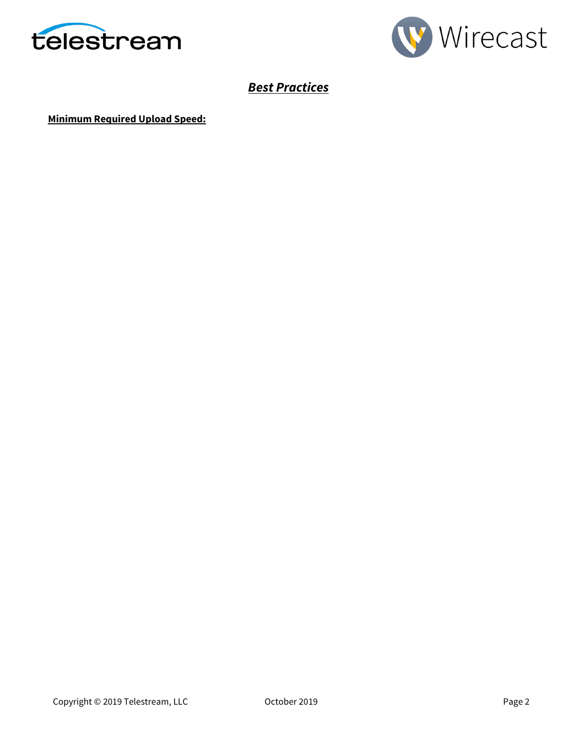



# *Best Practices*

**Minimum Required Upload Speed:**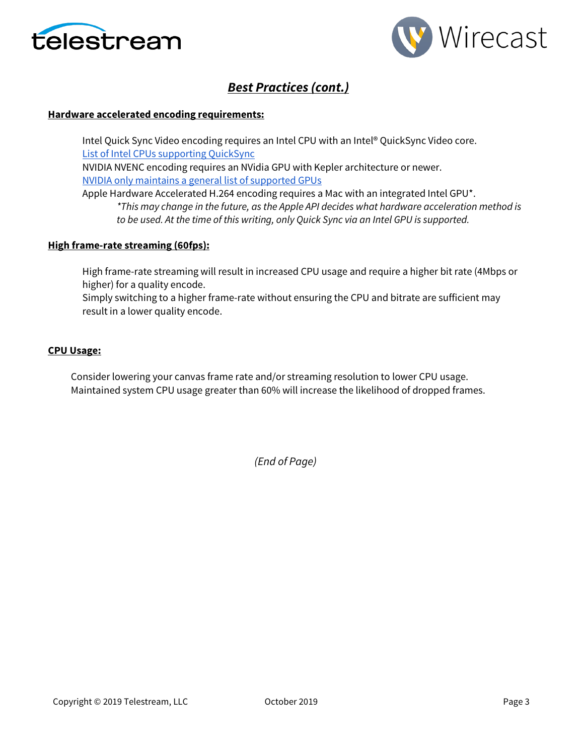



# *Best Practices (cont.)*

#### **Hardware accelerated encoding requirements:**

Intel Quick Sync Video encoding requires an Intel CPU with an Intel® QuickSync Video core[.](http://ark.intel.com/search/advanced?QuickSyncVideo=true&MarketSegment=DT) [List of Intel CPUs supporting QuickSync](https://ark.intel.com/content/www/us/en/ark/search/featurefilter.html?productType=873&0_QuickSyncVideo=True) NVIDIA NVENC encoding requires an NVidia GPU with Kepler architecture or newer[.](https://developer.nvidia.com/nvidia-video-codec-sdk) [NVIDIA only maintains a general list of supported GPUs](https://developer.nvidia.com/nvidia-video-codec-sdk)

Apple Hardware Accelerated H.264 encoding requires a Mac with an integrated Intel GPU\*. *\*This may change in the future, as the Apple API decides what hardware acceleration method is to be used. At the time of this writing, only Quick Sync via an Intel GPU is supported.*

#### **High frame-rate streaming (60fps):**

High frame-rate streaming will result in increased CPU usage and require a higher bit rate (4Mbps or higher) for a quality encode.

Simply switching to a higher frame-rate without ensuring the CPU and bitrate are sufficient may result in a lower quality encode.

#### **CPU Usage:**

Consider lowering your canvas frame rate and/or streaming resolution to lower CPU usage. Maintained system CPU usage greater than 60% will increase the likelihood of dropped frames.

*(End of Page)*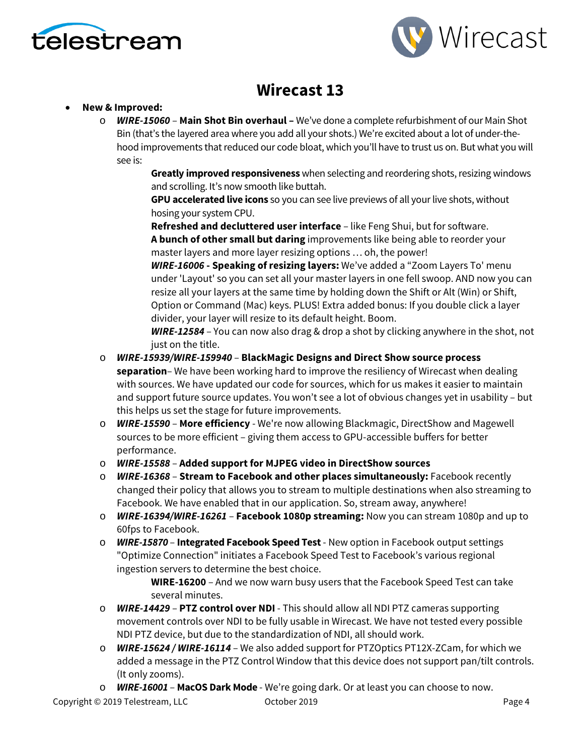



# **Wirecast 13**

# • **New & Improved:**

o *WIRE-15060* – **Main Shot Bin overhaul –** We've done a complete refurbishment of our Main Shot Bin (that's the layered area where you add all your shots.) We're excited about a lot of under-thehood improvements that reduced our code bloat, which you'll have to trust us on. But what you will see is:

> **Greatly improved responsiveness** when selecting and reordering shots, resizing windows and scrolling. It's now smooth like buttah.

**GPU accelerated live icons** so you can see live previews of all your live shots, without hosing your system CPU.

**Refreshed and decluttered user interface** – like Feng Shui, but for software. **A bunch of other small but daring** improvements like being able to reorder your master layers and more layer resizing options … oh, the power!

*WIRE-16006* **- Speaking of resizing layers:** We've added a "Zoom Layers To' menu under 'Layout' so you can set all your master layers in one fell swoop. AND now you can resize all your layers at the same time by holding down the Shift or Alt (Win) or Shift, Option or Command (Mac) keys. PLUS! Extra added bonus: If you double click a layer divider, your layer will resize to its default height. Boom.

*WIRE-12584* – You can now also drag & drop a shot by clicking anywhere in the shot, not just on the title.

- o *WIRE-15939/WIRE-159940* **BlackMagic Designs and Direct Show source process separation**– We have been working hard to improve the resiliency of Wirecast when dealing with sources. We have updated our code for sources, which for us makes it easier to maintain and support future source updates. You won't see a lot of obvious changes yet in usability – but this helps us set the stage for future improvements.
- o *WIRE-15590* **More efficiency**  We're now allowing Blackmagic, DirectShow and Magewell sources to be more efficient – giving them access to GPU-accessible buffers for better performance.
- o *WIRE-15588* **Added support for MJPEG video in DirectShow sources**
- o *WIRE-16368*  **Stream to Facebook and other places simultaneously:** Facebook recently changed their policy that allows you to stream to multiple destinations when also streaming to Facebook. We have enabled that in our application. So, stream away, anywhere!
- o *WIRE-16394/WIRE-16261* **Facebook 1080p streaming:** Now you can stream 1080p and up to 60fps to Facebook.
- o *WIRE-15870*  **Integrated Facebook Speed Test** New option in Facebook output settings "Optimize Connection" initiates a Facebook Speed Test to Facebook's various regional ingestion servers to determine the best choice.

**WIRE-16200** – And we now warn busy users that the Facebook Speed Test can take several minutes.

- o *WIRE-14429* **PTZ control over NDI** This should allow all NDI PTZ cameras supporting movement controls over NDI to be fully usable in Wirecast. We have not tested every possible NDI PTZ device, but due to the standardization of NDI, all should work.
- o *WIRE-15624 / WIRE-16114* We also added support for PTZOptics PT12X-ZCam, for which we added a message in the PTZ Control Window that this device does not support pan/tilt controls. (It only zooms).
- o *WIRE-16001*  **MacOS Dark Mode**  We're going dark. Or at least you can choose to now.

Copyright © 2019 Telestream, LLC October 2019 Page 4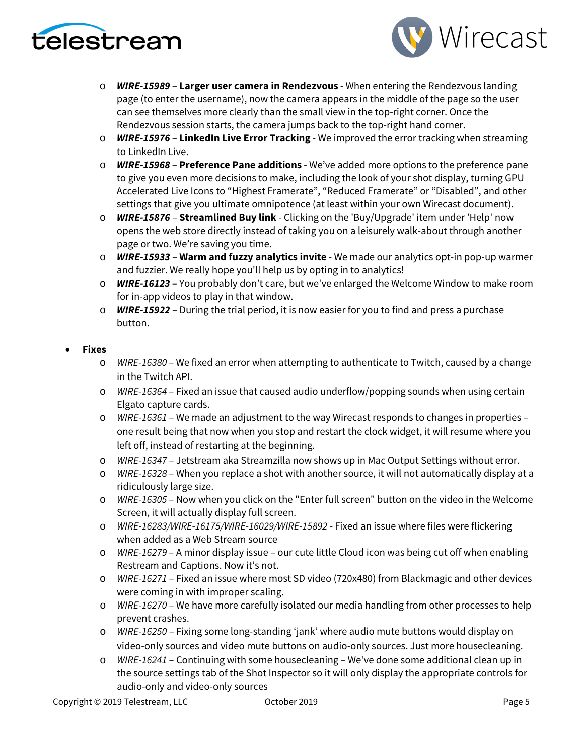



- o *WIRE-15989*  **Larger user camera in Rendezvous** When entering the Rendezvous landing page (to enter the username), now the camera appears in the middle of the page so the user can see themselves more clearly than the small view in the top-right corner. Once the Rendezvous session starts, the camera jumps back to the top-right hand corner.
- o *WIRE-15976*  **LinkedIn Live Error Tracking** We improved the error tracking when streaming to LinkedIn Live.
- o *WIRE-15968* **Preference Pane additions** We've added more options to the preference pane to give you even more decisions to make, including the look of your shot display, turning GPU Accelerated Live Icons to "Highest Framerate", "Reduced Framerate" or "Disabled", and other settings that give you ultimate omnipotence (at least within your own Wirecast document).
- o *WIRE-15876* **Streamlined Buy link** Clicking on the 'Buy/Upgrade' item under 'Help' now opens the web store directly instead of taking you on a leisurely walk-about through another page or two. We're saving you time.
- o *WIRE-15933* **Warm and fuzzy analytics invite** We made our analytics opt-in pop-up warmer and fuzzier. We really hope you'll help us by opting in to analytics!
- o *WIRE-16123* **–** You probably don't care, but we've enlarged the Welcome Window to make room for in-app videos to play in that window.
- o *WIRE-15922*  During the trial period, it is now easier for you to find and press a purchase button.

# • **Fixes**

- o *WIRE-16380*  We fixed an error when attempting to authenticate to Twitch, caused by a change in the Twitch API.
- o *WIRE-16364*  Fixed an issue that caused audio underflow/popping sounds when using certain Elgato capture cards.
- o *WIRE-16361* We made an adjustment to the way Wirecast responds to changes in properties one result being that now when you stop and restart the clock widget, it will resume where you left off, instead of restarting at the beginning.
- o *WIRE-16347* Jetstream aka Streamzilla now shows up in Mac Output Settings without error.
- o *WIRE-16328*  When you replace a shot with another source, it will not automatically display at a ridiculously large size.
- o *WIRE-16305*  Now when you click on the "Enter full screen" button on the video in the Welcome Screen, it will actually display full screen.
- o *WIRE-16283/WIRE-16175/WIRE-16029/WIRE-15892* Fixed an issue where files were flickering when added as a Web Stream source
- o *WIRE-16279*  A minor display issue our cute little Cloud icon was being cut off when enabling Restream and Captions. Now it's not.
- o *WIRE-16271* Fixed an issue where most SD video (720x480) from Blackmagic and other devices were coming in with improper scaling.
- o *WIRE-16270* We have more carefully isolated our media handling from other processes to help prevent crashes.
- o *WIRE-16250* Fixing some long-standing 'jank' where audio mute buttons would display on video-only sources and video mute buttons on audio-only sources. Just more housecleaning.
- o *WIRE-16241* Continuing with some housecleaning We've done some additional clean up in the source settings tab of the Shot Inspector so it will only display the appropriate controls for audio-only and video-only sources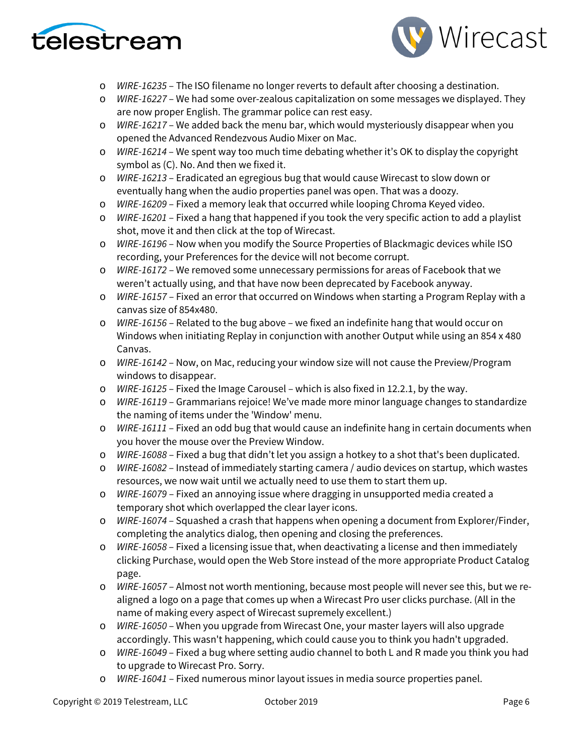



- o *WIRE-16235* The ISO filename no longer reverts to default after choosing a destination.
- o *WIRE-16227* We had some over-zealous capitalization on some messages we displayed. They are now proper English. The grammar police can rest easy.
- o *WIRE-16217* We added back the menu bar, which would mysteriously disappear when you opened the Advanced Rendezvous Audio Mixer on Mac.
- o *WIRE-16214*  We spent way too much time debating whether it's OK to display the copyright symbol as (C). No. And then we fixed it.
- o *WIRE-16213* Eradicated an egregious bug that would cause Wirecast to slow down or eventually hang when the audio properties panel was open. That was a doozy.
- o *WIRE-16209* Fixed a memory leak that occurred while looping Chroma Keyed video.
- o *WIRE-16201* Fixed a hang that happened if you took the very specific action to add a playlist shot, move it and then click at the top of Wirecast.
- o *WIRE-16196* Now when you modify the Source Properties of Blackmagic devices while ISO recording, your Preferences for the device will not become corrupt.
- o *WIRE-16172* We removed some unnecessary permissions for areas of Facebook that we weren't actually using, and that have now been deprecated by Facebook anyway.
- o *WIRE-16157* Fixed an error that occurred on Windows when starting a Program Replay with a canvas size of 854x480.
- o *WIRE-16156* Related to the bug above we fixed an indefinite hang that would occur on Windows when initiating Replay in conjunction with another Output while using an 854 x 480 Canvas.
- o *WIRE-16142*  Now, on Mac, reducing your window size will not cause the Preview/Program windows to disappear.
- o *WIRE-16125*  Fixed the Image Carousel which is also fixed in 12.2.1, by the way.
- o *WIRE-16119* Grammarians rejoice! We've made more minor language changes to standardize the naming of items under the 'Window' menu.
- o *WIRE-16111*  Fixed an odd bug that would cause an indefinite hang in certain documents when you hover the mouse over the Preview Window.
- o *WIRE-16088* Fixed a bug that didn't let you assign a hotkey to a shot that's been duplicated.
- o *WIRE-16082*  Instead of immediately starting camera / audio devices on startup, which wastes resources, we now wait until we actually need to use them to start them up.
- o *WIRE-16079* Fixed an annoying issue where dragging in unsupported media created a temporary shot which overlapped the clear layer icons.
- o *WIRE-16074*  Squashed a crash that happens when opening a document from Explorer/Finder, completing the analytics dialog, then opening and closing the preferences.
- o *WIRE-16058*  Fixed a licensing issue that, when deactivating a license and then immediately clicking Purchase, would open the Web Store instead of the more appropriate Product Catalog page.
- o *WIRE-16057* Almost not worth mentioning, because most people will never see this, but we realigned a logo on a page that comes up when a Wirecast Pro user clicks purchase. (All in the name of making every aspect of Wirecast supremely excellent.)
- o *WIRE-16050* When you upgrade from Wirecast One, your master layers will also upgrade accordingly. This wasn't happening, which could cause you to think you hadn't upgraded.
- o *WIRE-16049*  Fixed a bug where setting audio channel to both L and R made you think you had to upgrade to Wirecast Pro. Sorry.
- o *WIRE-16041* Fixed numerous minor layout issues in media source properties panel.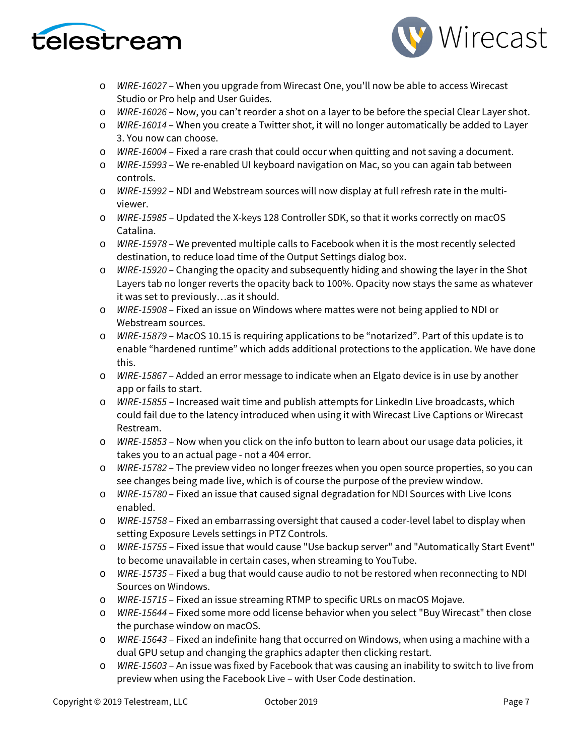



- o *WIRE-16027* When you upgrade from Wirecast One, you'll now be able to access Wirecast Studio or Pro help and User Guides.
- o *WIRE-16026* Now, you can't reorder a shot on a layer to be before the special Clear Layer shot.
- o *WIRE-16014*  When you create a Twitter shot, it will no longer automatically be added to Layer 3. You now can choose.
- o *WIRE-16004* Fixed a rare crash that could occur when quitting and not saving a document.
- o *WIRE-15993*  We re-enabled UI keyboard navigation on Mac, so you can again tab between controls.
- o *WIRE-15992* NDI and Webstream sources will now display at full refresh rate in the multiviewer.
- o *WIRE-15985* Updated the X-keys 128 Controller SDK, so that it works correctly on macOS Catalina.
- o *WIRE-15978* We prevented multiple calls to Facebook when it is the most recently selected destination, to reduce load time of the Output Settings dialog box.
- o *WIRE-15920*  Changing the opacity and subsequently hiding and showing the layer in the Shot Layers tab no longer reverts the opacity back to 100%. Opacity now stays the same as whatever it was set to previously…as it should.
- o *WIRE-15908*  Fixed an issue on Windows where mattes were not being applied to NDI or Webstream sources.
- o *WIRE-15879*  MacOS 10.15 is requiring applications to be "notarized". Part of this update is to enable "hardened runtime" which adds additional protections to the application. We have done this.
- o *WIRE-15867*  Added an error message to indicate when an Elgato device is in use by another app or fails to start.
- o *WIRE-15855* Increased wait time and publish attempts for LinkedIn Live broadcasts, which could fail due to the latency introduced when using it with Wirecast Live Captions or Wirecast Restream.
- o *WIRE-15853* Now when you click on the info button to learn about our usage data policies, it takes you to an actual page - not a 404 error.
- o *WIRE-15782*  The preview video no longer freezes when you open source properties, so you can see changes being made live, which is of course the purpose of the preview window.
- o *WIRE-15780*  Fixed an issue that caused signal degradation for NDI Sources with Live Icons enabled.
- o *WIRE-15758*  Fixed an embarrassing oversight that caused a coder-level label to display when setting Exposure Levels settings in PTZ Controls.
- o *WIRE-15755* Fixed issue that would cause "Use backup server" and "Automatically Start Event" to become unavailable in certain cases, when streaming to YouTube.
- o *WIRE-15735*  Fixed a bug that would cause audio to not be restored when reconnecting to NDI Sources on Windows.
- o *WIRE-15715*  Fixed an issue streaming RTMP to specific URLs on macOS Mojave.
- o *WIRE-15644*  Fixed some more odd license behavior when you select "Buy Wirecast" then close the purchase window on macOS.
- o *WIRE-15643* Fixed an indefinite hang that occurred on Windows, when using a machine with a dual GPU setup and changing the graphics adapter then clicking restart.
- o *WIRE-15603* An issue was fixed by Facebook that was causing an inability to switch to live from preview when using the Facebook Live – with User Code destination.